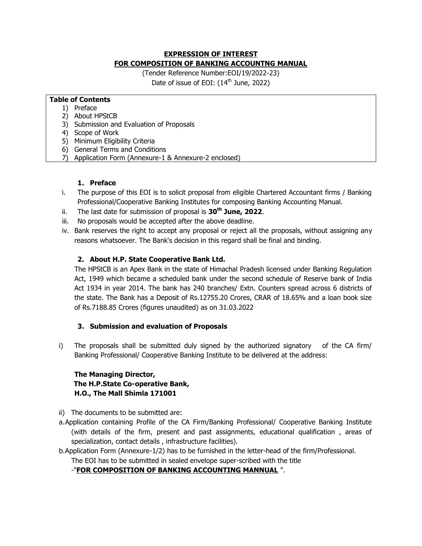# **EXPRESSION OF INTEREST FOR COMPOSITION OF BANKING ACCOUNTNG MANUAL**

(Tender Reference Number:EOI/19/2022-23) Date of issue of EOI:  $(14<sup>th</sup>$  June, 2022)

### **Table of Contents**

- 1) Preface
- 2) About HPStCB
- 3) Submission and Evaluation of Proposals
- 4) Scope of Work
- 5) Minimum Eligibility Criteria
- 6) General Terms and Conditions
- 7) Application Form (Annexure-1 & Annexure-2 enclosed)

### **1. Preface**

- i. The purpose of this EOI is to solicit proposal from eligible Chartered Accountant firms / Banking Professional/Cooperative Banking Institutes for composing Banking Accounting Manual.
- ii. The last date for submission of proposal is **30th June, 2022**.
- iii. No proposals would be accepted after the above deadline.
- iv. Bank reserves the right to accept any proposal or reject all the proposals, without assigning any reasons whatsoever. The Bank's decision in this regard shall be final and binding.

# **2. About H.P. State Cooperative Bank Ltd.**

The HPStCB is an Apex Bank in the state of Himachal Pradesh licensed under Banking Regulation Act, 1949 which became a scheduled bank under the second schedule of Reserve bank of India Act 1934 in year 2014. The bank has 240 branches/ Extn. Counters spread across 6 districts of the state. The Bank has a Deposit of Rs.12755.20 Crores, CRAR of 18.65% and a loan book size of Rs.7188.85 Crores (figures unaudited) as on 31.03.2022

# **3. Submission and evaluation of Proposals**

i) The proposals shall be submitted duly signed by the authorized signatory of the CA firm/ Banking Professional/ Cooperative Banking Institute to be delivered at the address:

# **The Managing Director, The H.P.State Co-operative Bank, H.O., The Mall Shimla 171001**

ii) The documents to be submitted are:

- a.Application containing Profile of the CA Firm/Banking Professional/ Cooperative Banking Institute (with details of the firm, present and past assignments, educational qualification , areas of specialization, contact details , infrastructure facilities).
- b.Application Form (Annexure-1/2) has to be furnished in the letter-head of the firm/Professional.

The EOI has to be submitted in sealed envelope super-scribed with the title

# -"**FOR COMPOSITION OF BANKING ACCOUNTING MANNUAL** ".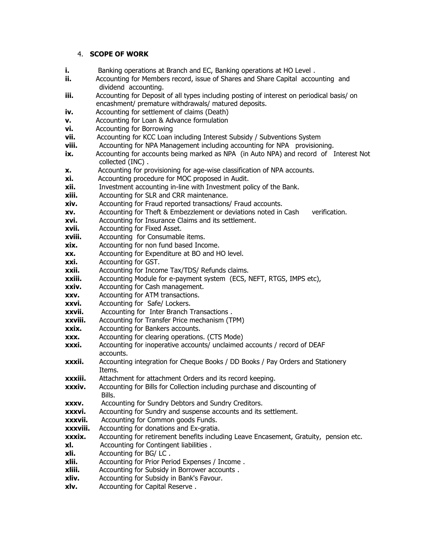#### 4. **SCOPE OF WORK**

- **i.** Banking operations at Branch and EC, Banking operations at HO Level.
- **ii.** Accounting for Members record, issue of Shares and Share Capital accounting and dividend accounting.
- **iii.** Accounting for Deposit of all types including posting of interest on periodical basis/ on encashment/ premature withdrawals/ matured deposits.
- **iv.** Accounting for settlement of claims (Death)
- **v.** Accounting for Loan & Advance formulation
- **vi.** Accounting for Borrowing
- **vii.** Accounting for KCC Loan including Interest Subsidy / Subventions System
- **viii.** Accounting for NPA Management including accounting for NPA provisioning.
- **ix.** Accounting for accounts being marked as NPA (in Auto NPA) and record of Interest Not collected (INC) .
- **x.** Accounting for provisioning for age-wise classification of NPA accounts.
- **xi.** Accounting procedure for MOC proposed in Audit.
- **xii.** Investment accounting in-line with Investment policy of the Bank.
- **xiii.** Accounting for SLR and CRR maintenance.
- **xiv.** Accounting for Fraud reported transactions/ Fraud accounts.
- **xv.** Accounting for Theft & Embezzlement or deviations noted in Cash verification.
- **xvi.** Accounting for Insurance Claims and its settlement.
- **xvii.** Accounting for Fixed Asset.
- **xviii.** Accounting for Consumable items.
- **xix.** Accounting for non fund based Income.
- **xx.** Accounting for Expenditure at BO and HO level.
- **xxi.** Accounting for GST.
- **xxii.** Accounting for Income Tax/TDS/ Refunds claims.
- **xxiii.** Accounting Module for e-payment system (ECS, NEFT, RTGS, IMPS etc),
- **xxiv.** Accounting for Cash management.
- **xxv.** Accounting for ATM transactions.
- **xxvi.** Accounting for Safe/ Lockers.
- **xxvii.** Accounting for Inter Branch Transactions .
- **xxviii.** Accounting for Transfer Price mechanism (TPM)
- **xxix.** Accounting for Bankers accounts.
- **xxx.** Accounting for clearing operations. (CTS Mode)
- **xxxi.** Accounting for inoperative accounts/ unclaimed accounts / record of DEAF accounts.
- **xxxii.** Accounting integration for Cheque Books / DD Books / Pay Orders and Stationery Items.
- **xxxiii.** Attachment for attachment Orders and its record keeping.
- **xxxiv.** Accounting for Bills for Collection including purchase and discounting of Bills.
- **xxxv.** Accounting for Sundry Debtors and Sundry Creditors.
- **xxxvi.** Accounting for Sundry and suspense accounts and its settlement.
- **xxxvii.** Accounting for Common goods Funds.
- **xxxviii.** Accounting for donations and Ex-gratia.
- **xxxix.** Accounting for retirement benefits including Leave Encasement, Gratuity, pension etc. **xl.** Accounting for Contingent liabilities .
- **xli.** Accounting for BG/ LC .
- **xlii.** Accounting for Prior Period Expenses / Income .
- **xliii.** Accounting for Subsidy in Borrower accounts .
- **xliv.** Accounting for Subsidy in Bank's Favour.
- **xlv.** Accounting for Capital Reserve .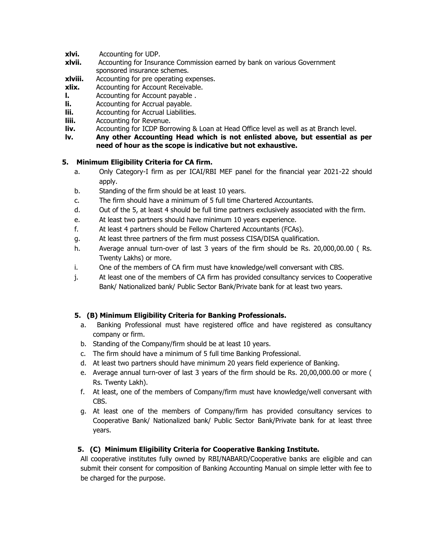- **xlvi.** Accounting for UDP.
- **xlvii.** Accounting for Insurance Commission earned by bank on various Government sponsored insurance schemes.
- **xlviii.** Accounting for pre operating expenses.
- **xlix.** Accounting for Account Receivable.
- **l.** Accounting for Account payable .
- **li.** Accounting for Accrual payable.
- **lii.** Accounting for Accrual Liabilities.
- **liii.** Accounting for Revenue.
- **liv.** Accounting for ICDP Borrowing & Loan at Head Office level as well as at Branch level.
- **lv. Any other Accounting Head which is not enlisted above, but essential as per need of hour as the scope is indicative but not exhaustive.**

### **5. Minimum Eligibility Criteria for CA firm.**

- a. Only Category-I firm as per ICAI/RBI MEF panel for the financial year 2021-22 should apply.
- b. Standing of the firm should be at least 10 years.
- c. The firm should have a minimum of 5 full time Chartered Accountants.
- d. Out of the 5, at least 4 should be full time partners exclusively associated with the firm.
- e. At least two partners should have minimum 10 years experience.
- f. At least 4 partners should be Fellow Chartered Accountants (FCAs).
- g. At least three partners of the firm must possess CISA/DISA qualification.
- h. Average annual turn-over of last 3 years of the firm should be Rs. 20,000,00.00 ( Rs. Twenty Lakhs) or more.
- i. One of the members of CA firm must have knowledge/well conversant with CBS.
- j. At least one of the members of CA firm has provided consultancy services to Cooperative Bank/ Nationalized bank/ Public Sector Bank/Private bank for at least two years.

# **5. (B) Minimum Eligibility Criteria for Banking Professionals.**

- a.Banking Professional must have registered office and have registered as consultancy company or firm.
- b. Standing of the Company/firm should be at least 10 years.
- c. The firm should have a minimum of 5 full time Banking Professional.
- d. At least two partners should have minimum 20 years field experience of Banking.
- e. Average annual turn-over of last 3 years of the firm should be Rs. 20,00,000.00 or more ( Rs. Twenty Lakh).
- f. At least, one of the members of Company/firm must have knowledge/well conversant with CBS.
- g. At least one of the members of Company/firm has provided consultancy services to Cooperative Bank/ Nationalized bank/ Public Sector Bank/Private bank for at least three years.

# **5. (C) Minimum Eligibility Criteria for Cooperative Banking Institute.**

All cooperative institutes fully owned by RBI/NABARD/Cooperative banks are eligible and can submit their consent for composition of Banking Accounting Manual on simple letter with fee to be charged for the purpose.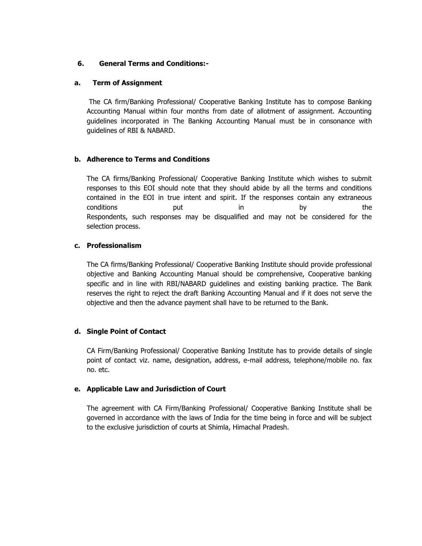#### **6. General Terms and Conditions:-**

#### **a. Term of Assignment**

The CA firm/Banking Professional/ Cooperative Banking Institute has to compose Banking Accounting Manual within four months from date of allotment of assignment. Accounting guidelines incorporated in The Banking Accounting Manual must be in consonance with guidelines of RBI & NABARD.

#### **b. Adherence to Terms and Conditions**

The CA firms/Banking Professional/ Cooperative Banking Institute which wishes to submit responses to this EOI should note that they should abide by all the terms and conditions contained in the EOI in true intent and spirit. If the responses contain any extraneous conditions put in by the Respondents, such responses may be disqualified and may not be considered for the selection process.

#### **c. Professionalism**

The CA firms/Banking Professional/ Cooperative Banking Institute should provide professional objective and Banking Accounting Manual should be comprehensive, Cooperative banking specific and in line with RBI/NABARD guidelines and existing banking practice. The Bank reserves the right to reject the draft Banking Accounting Manual and if it does not serve the objective and then the advance payment shall have to be returned to the Bank.

#### **d. Single Point of Contact**

CA Firm/Banking Professional/ Cooperative Banking Institute has to provide details of single point of contact viz. name, designation, address, e-mail address, telephone/mobile no. fax no. etc.

#### **e. Applicable Law and Jurisdiction of Court**

The agreement with CA Firm/Banking Professional/ Cooperative Banking Institute shall be governed in accordance with the laws of India for the time being in force and will be subject to the exclusive jurisdiction of courts at Shimla, Himachal Pradesh.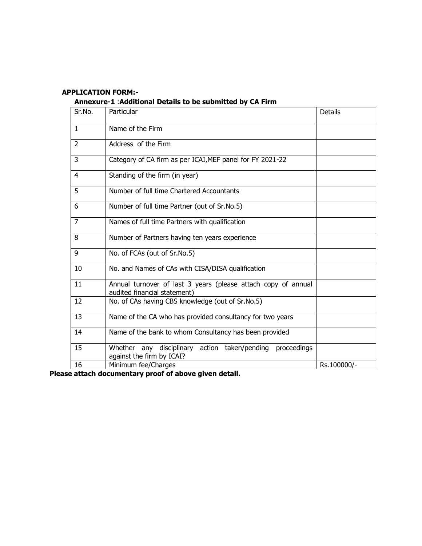# **APPLICATION FORM:-**

**Annexure-1** :**Additional Details to be submitted by CA Firm**

| Sr.No.         | Particular                                                                                    | Details     |
|----------------|-----------------------------------------------------------------------------------------------|-------------|
| $\mathbf{1}$   | Name of the Firm                                                                              |             |
| $\overline{2}$ | Address of the Firm                                                                           |             |
| 3              | Category of CA firm as per ICAI, MEF panel for FY 2021-22                                     |             |
| 4              | Standing of the firm (in year)                                                                |             |
| 5              | Number of full time Chartered Accountants                                                     |             |
| 6              | Number of full time Partner (out of Sr.No.5)                                                  |             |
| $\overline{7}$ | Names of full time Partners with qualification                                                |             |
| 8              | Number of Partners having ten years experience                                                |             |
| 9              | No. of FCAs (out of Sr.No.5)                                                                  |             |
| 10             | No. and Names of CAs with CISA/DISA qualification                                             |             |
| 11             | Annual turnover of last 3 years (please attach copy of annual<br>audited financial statement) |             |
| 12             | No. of CAs having CBS knowledge (out of Sr.No.5)                                              |             |
| 13             | Name of the CA who has provided consultancy for two years                                     |             |
| 14             | Name of the bank to whom Consultancy has been provided                                        |             |
| 15             | Whether any disciplinary action taken/pending<br>proceedings<br>against the firm by ICAI?     |             |
| 16             | Minimum fee/Charges                                                                           | Rs.100000/- |

**Please attach documentary proof of above given detail.**